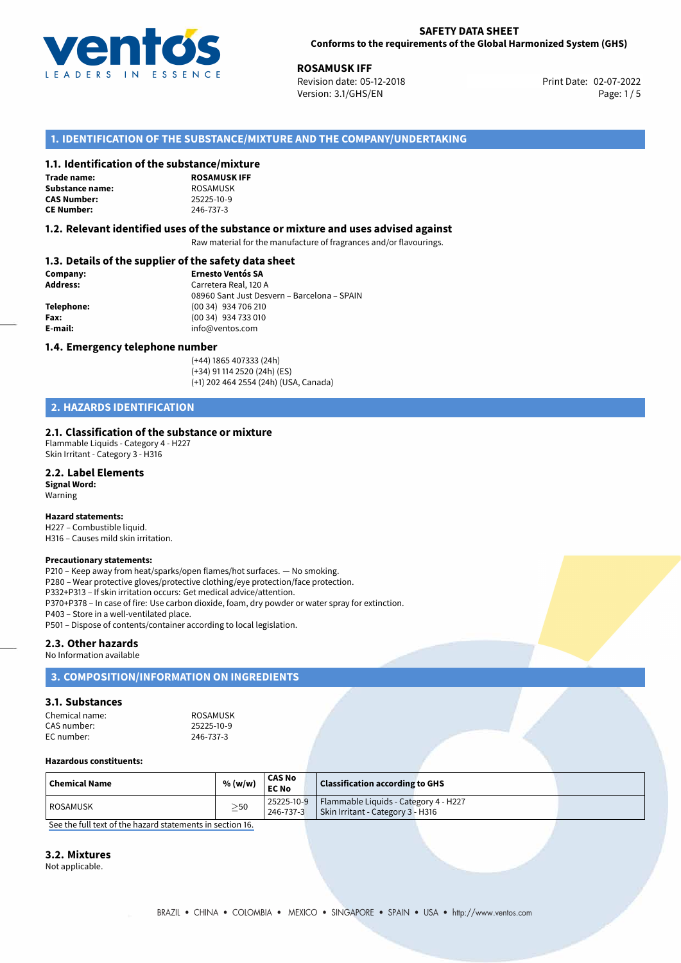

**ROSAMUSK IFF**<br>Revision date: 05-12-2018 **Revision date: 02-07-2022** Revision date: 05-12-2018 Version: 3.1/GHS/EN Page: 1 / 5

## **1. IDENTIFICATION OF THE SUBSTANCE/MIXTURE AND THE COMPANY/UNDERTAKING**

### **1.1. Identification of the substance/mixture**

**Trade name: Substance name:** ROSAMUSK<br> **CAS Number:** 25225-10-9 **CAS Number: CE Number:** 246-737-3

**ROSAMUSK IFF**

### **1.2. Relevant identified uses of the substance or mixture and uses advised against**

Raw material for the manufacture of fragrances and/or flavourings.

# **1.3. Details of the supplier of the safety data sheet**

| Company:        | <b>Ernesto Ventós SA</b>                    |  |
|-----------------|---------------------------------------------|--|
| <b>Address:</b> | Carretera Real, 120 A                       |  |
|                 | 08960 Sant Just Desvern - Barcelona - SPAIN |  |
| Telephone:      | (00 34) 934 706 210                         |  |
| Fax:            | (00 34) 934 733 010                         |  |
| E-mail:         | info@ventos.com                             |  |
|                 |                                             |  |

### **1.4. Emergency telephone number**

(+44) 1865 407333 (24h) (+34) 91 114 2520 (24h) (ES) (+1) 202 464 2554 (24h) (USA, Canada)

# **2. HAZARDS IDENTIFICATION**

### **2.1. Classification of the substance or mixture**

Flammable Liquids - Category 4 - H227 Skin Irritant - Category 3 - H316

# **2.2. Label Elements**

**Signal Word:** Warning

### **Hazard statements:**

H227 – Combustible liquid. H316 – Causes mild skin irritation.

### **Precautionary statements:**

P210 – Keep away from heat/sparks/open flames/hot surfaces. — No smoking. P280 – Wear protective gloves/protective clothing/eye protection/face protection. P332+P313 – If skin irritation occurs: Get medical advice/attention. P370+P378 – In case of fire: Use carbon dioxide, foam, dry powder or water spray for extinction. P403 – Store in a well-ventilated place. P501 – Dispose of contents/container according to local legislation.

### **2.3. Other hazards**

No Information available

# **3. COMPOSITION/INFORMATION ON INGREDIENTS**

# **3.1. Substances**

| Chemical name: | ROSAMUSK   |
|----------------|------------|
| CAS number:    | 25225-10-9 |
| EC number:     | 246-737-3  |

### 25225-10-9 EC number: 246-737-3

### **Hazardous constituents:**

| $\mid$ Chemical Name | % (w/w)   | <b>CAS No</b><br><b>EC No</b> | <b>Classification according to GHS</b>           |  |
|----------------------|-----------|-------------------------------|--------------------------------------------------|--|
| l ROSAMUSK           | $\geq$ 50 |                               | 25225-10-9 Flammable Liquids - Category 4 - H227 |  |
|                      |           | 246-737-3                     | Skin Irritant - Category 3 - H316                |  |

[See the full text of the hazard statements in section 16.](#page--1-0)

### **3.2. Mixtures**

Not applicable.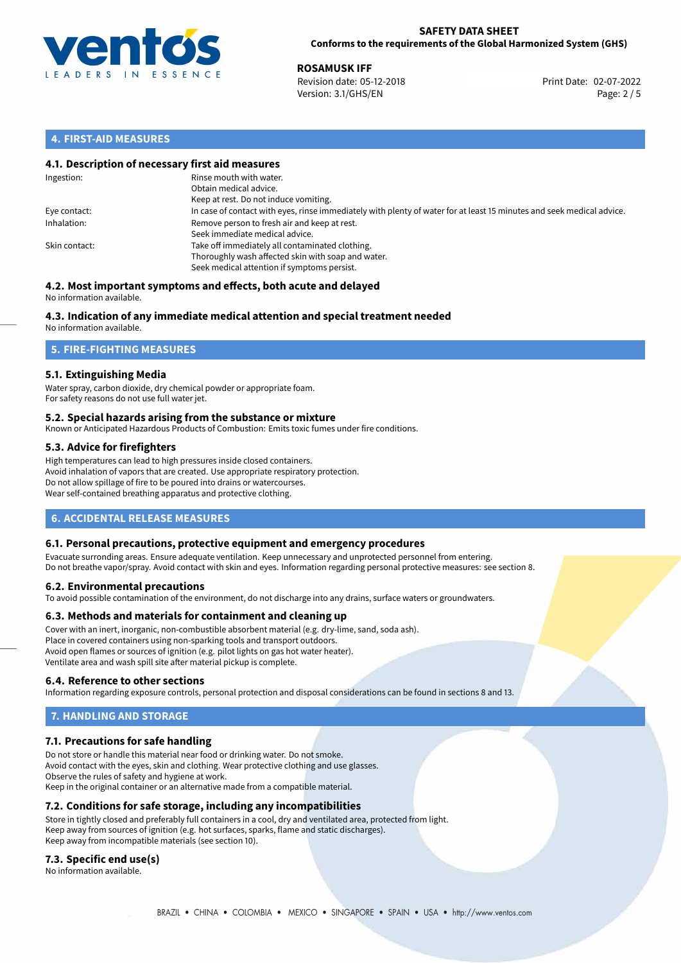

**ROSAMUSK IFF**<br>Revision date: 05-12-2018 **Revision date: 02-07-2022** Revision date: 05-12-2018 Version: 3.1/GHS/EN Page: 2 / 5

## **4. FIRST-AID MEASURES**

### **4.1. Description of necessary first aid measures**

| Ingestion:    | Rinse mouth with water.<br>Obtain medical advice.<br>Keep at rest. Do not induce vomiting.                                                           |
|---------------|------------------------------------------------------------------------------------------------------------------------------------------------------|
| Eye contact:  | In case of contact with eyes, rinse immediately with plenty of water for at least 15 minutes and seek medical advice.                                |
| Inhalation:   | Remove person to fresh air and keep at rest.<br>Seek immediate medical advice.                                                                       |
| Skin contact: | Take off immediately all contaminated clothing.<br>Thoroughly wash affected skin with soap and water.<br>Seek medical attention if symptoms persist. |

### **4.2. Most important symptoms and effects, both acute and delayed** No information available.

# **4.3. Indication of any immediate medical attention and special treatment needed**

No information available.

# **5. FIRE-FIGHTING MEASURES**

## **5.1. Extinguishing Media**

Water spray, carbon dioxide, dry chemical powder or appropriate foam. For safety reasons do not use full water jet.

### **5.2. Special hazards arising from the substance or mixture**

Known or Anticipated Hazardous Products of Combustion: Emits toxic fumes under fire conditions.

## **5.3. Advice for firefighters**

High temperatures can lead to high pressures inside closed containers. Avoid inhalation of vapors that are created. Use appropriate respiratory protection. Do not allow spillage of fire to be poured into drains or watercourses. Wear self-contained breathing apparatus and protective clothing.

# **6. ACCIDENTAL RELEASE MEASURES**

### **6.1. Personal precautions, protective equipment and emergency procedures**

Evacuate surronding areas. Ensure adequate ventilation. Keep unnecessary and unprotected personnel from entering. Do not breathe vapor/spray. Avoid contact with skin and eyes. Information regarding personal protective measures: see section 8.

### **6.2. Environmental precautions**

To avoid possible contamination of the environment, do not discharge into any drains, surface waters or groundwaters.

### **6.3. Methods and materials for containment and cleaning up**

Cover with an inert, inorganic, non-combustible absorbent material (e.g. dry-lime, sand, soda ash). Place in covered containers using non-sparking tools and transport outdoors. Avoid open flames or sources of ignition (e.g. pilot lights on gas hot water heater). Ventilate area and wash spill site after material pickup is complete.

### **6.4. Reference to other sections**

Information regarding exposure controls, personal protection and disposal considerations can be found in sections 8 and 13.

# **7. HANDLING AND STORAGE**

### **7.1. Precautions for safe handling**

Do not store or handle this material near food or drinking water. Do not smoke. Avoid contact with the eyes, skin and clothing. Wear protective clothing and use glasses. Observe the rules of safety and hygiene at work. Keep in the original container or an alternative made from a compatible material.

### **7.2. Conditions for safe storage, including any incompatibilities**

Store in tightly closed and preferably full containers in a cool, dry and ventilated area, protected from light. Keep away from sources of ignition (e.g. hot surfaces, sparks, flame and static discharges). Keep away from incompatible materials (see section 10).

### **7.3. Specific end use(s)**

No information available.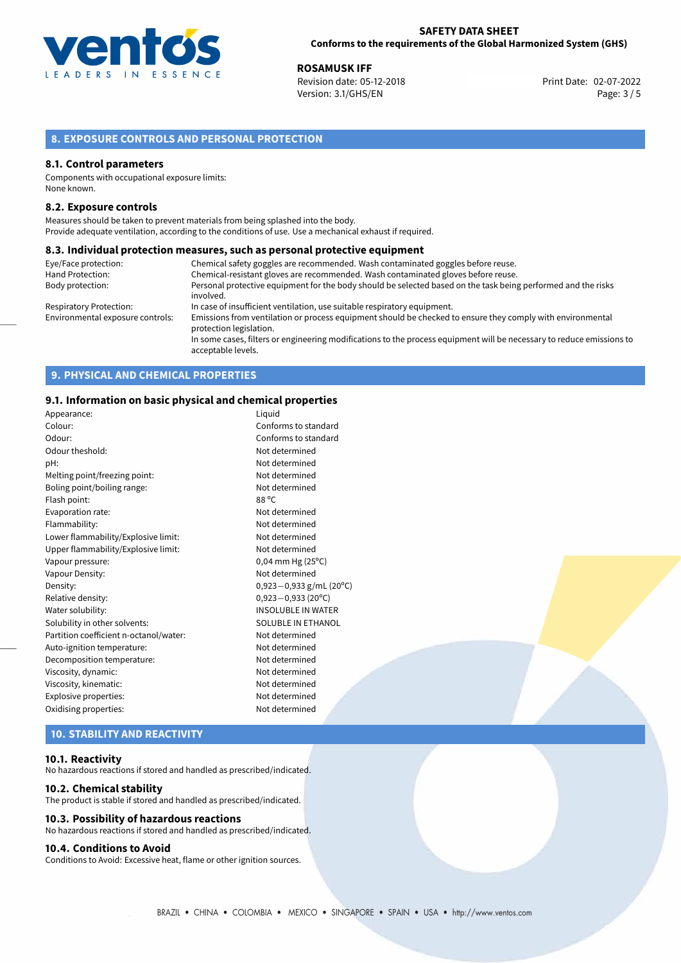

**ROSAMUSK IFF**<br>
Revision date: 05-12-2018 **Print Date: 02-07-2022** Version: 3.1/GHS/EN Page: 3 / 5

# **8. EXPOSURE CONTROLS AND PERSONAL PROTECTION**

### **8.1. Control parameters**

Components with occupational exposure limits: None known.

### **8.2. Exposure controls**

Measures should be taken to prevent materials from being splashed into the body. Provide adequate ventilation, according to the conditions of use. Use a mechanical exhaust if required.

### **8.3. Individual protection measures, such as personal protective equipment**

| Eye/Face protection:             | Chemical safety goggles are recommended. Wash contaminated goggles before reuse.                                                            |
|----------------------------------|---------------------------------------------------------------------------------------------------------------------------------------------|
| Hand Protection:                 | Chemical-resistant gloves are recommended. Wash contaminated gloves before reuse.                                                           |
| Body protection:                 | Personal protective equipment for the body should be selected based on the task being performed and the risks                               |
|                                  | involved.                                                                                                                                   |
| <b>Respiratory Protection:</b>   | In case of insufficient ventilation, use suitable respiratory equipment.                                                                    |
| Environmental exposure controls: | Emissions from ventilation or process equipment should be checked to ensure they comply with environmental<br>protection legislation.       |
|                                  | In some cases, filters or engineering modifications to the process equipment will be necessary to reduce emissions to<br>acceptable levels. |

# **9. PHYSICAL AND CHEMICAL PROPERTIES**

### **9.1. Information on basic physical and chemical properties**

| Appearance:                            | Liguid                         |
|----------------------------------------|--------------------------------|
| Colour:                                | Conforms to standard           |
| Odour:                                 | Conforms to standard           |
| Odour theshold:                        | Not determined                 |
| pH:                                    | Not determined                 |
| Melting point/freezing point:          | Not determined                 |
| Boling point/boiling range:            | Not determined                 |
| Flash point:                           | 88 °C                          |
| Evaporation rate:                      | Not determined                 |
| Flammability:                          | Not determined                 |
| Lower flammability/Explosive limit:    | Not determined                 |
| Upper flammability/Explosive limit:    | Not determined                 |
| Vapour pressure:                       | $0,04$ mm Hg (25 $^{\circ}$ C) |
| Vapour Density:                        | Not determined                 |
| Density:                               | 0,923 - 0,933 g/mL (20°C)      |
| Relative density:                      | $0,923 - 0,933$ (20°C)         |
| Water solubility:                      | <b>INSOLUBLE IN WATER</b>      |
| Solubility in other solvents:          | SOLUBLE IN ETHANOL             |
| Partition coefficient n-octanol/water: | Not determined                 |
| Auto-ignition temperature:             | Not determined                 |
| Decomposition temperature:             | Not determined                 |
| Viscosity, dynamic:                    | Not determined                 |
| Viscosity, kinematic:                  | Not determined                 |
| Explosive properties:                  | Not determined                 |
| Oxidising properties:                  | Not determined                 |
|                                        |                                |

# **10. STABILITY AND REACTIVITY**

### **10.1. Reactivity**

No hazardous reactions if stored and handled as prescribed/indicated.

### **10.2. Chemical stability**

The product is stable if stored and handled as prescribed/indicated.

### **10.3. Possibility of hazardous reactions**

No hazardous reactions if stored and handled as prescribed/indicated.

### **10.4. Conditions to Avoid**

Conditions to Avoid: Excessive heat, flame or other ignition sources.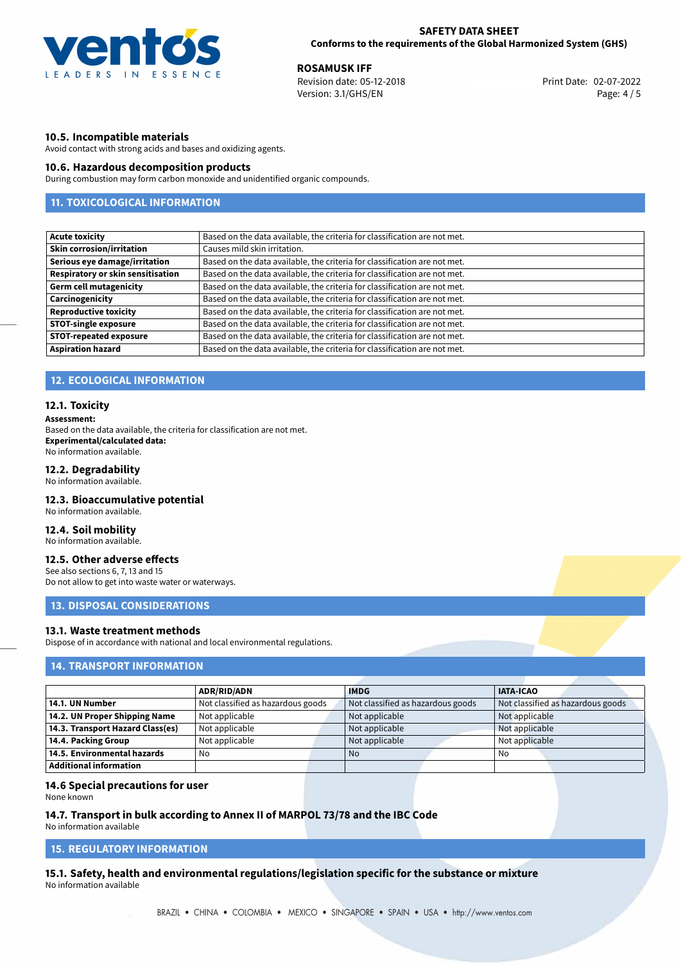

**ROSAMUSK IFF**<br>
Revision date: 05-12-2018<br> **Revision date: 05-12-2018** Revision date: 05-12-2018 Version: 3.1/GHS/EN Page: 4 / 5

### **10.5. Incompatible materials**

Avoid contact with strong acids and bases and oxidizing agents.

### **10.6. Hazardous decomposition products**

During combustion may form carbon monoxide and unidentified organic compounds.

# **11. TOXICOLOGICAL INFORMATION**

| <b>Acute toxicity</b>             | Based on the data available, the criteria for classification are not met. |
|-----------------------------------|---------------------------------------------------------------------------|
| <b>Skin corrosion/irritation</b>  | Causes mild skin irritation.                                              |
| Serious eye damage/irritation     | Based on the data available, the criteria for classification are not met. |
| Respiratory or skin sensitisation | Based on the data available, the criteria for classification are not met. |
| <b>Germ cell mutagenicity</b>     | Based on the data available, the criteria for classification are not met. |
| Carcinogenicity                   | Based on the data available, the criteria for classification are not met. |
| <b>Reproductive toxicity</b>      | Based on the data available, the criteria for classification are not met. |
| <b>STOT-single exposure</b>       | Based on the data available, the criteria for classification are not met. |
| <b>STOT-repeated exposure</b>     | Based on the data available, the criteria for classification are not met. |
| <b>Aspiration hazard</b>          | Based on the data available, the criteria for classification are not met. |

### **12. ECOLOGICAL INFORMATION**

### **12.1. Toxicity**

### **Assessment:**

Based on the data available, the criteria for classification are not met. **Experimental/calculated data:** No information available.

### **12.2. Degradability**

No information available.

### **12.3. Bioaccumulative potential**

No information available.

### **12.4. Soil mobility**

No information available.

# **12.5. Other adverse effects**

See also sections 6, 7, 13 and 15 Do not allow to get into waste water or waterways.

### **13. DISPOSAL CONSIDERATIONS**

### **13.1. Waste treatment methods**

Dispose of in accordance with national and local environmental regulations.

## **14. TRANSPORT INFORMATION**

|                                    | <b>ADR/RID/ADN</b>                | <b>IMDG</b>                       | <b>IATA-ICAO</b>                  |
|------------------------------------|-----------------------------------|-----------------------------------|-----------------------------------|
| 14.1. UN Number                    | Not classified as hazardous goods | Not classified as hazardous goods | Not classified as hazardous goods |
| 14.2. UN Proper Shipping Name      | Not applicable                    | Not applicable                    | Not applicable                    |
| 14.3. Transport Hazard Class(es)   | Not applicable                    | Not applicable                    | Not applicable                    |
| 14.4. Packing Group                | Not applicable                    | Not applicable                    | Not applicable                    |
| $\mid$ 14.5. Environmental hazards | No                                | No.                               | No                                |
| Additional information             |                                   |                                   |                                   |

### **14.6 Special precautions for user**

None known

# **14.7. Transport in bulk according to Annex II of MARPOL 73/78 and the IBC Code**

No information available

# **15. REGULATORY INFORMATION**

**15.1. Safety, health and environmental regulations/legislation specific for the substance or mixture** No information available